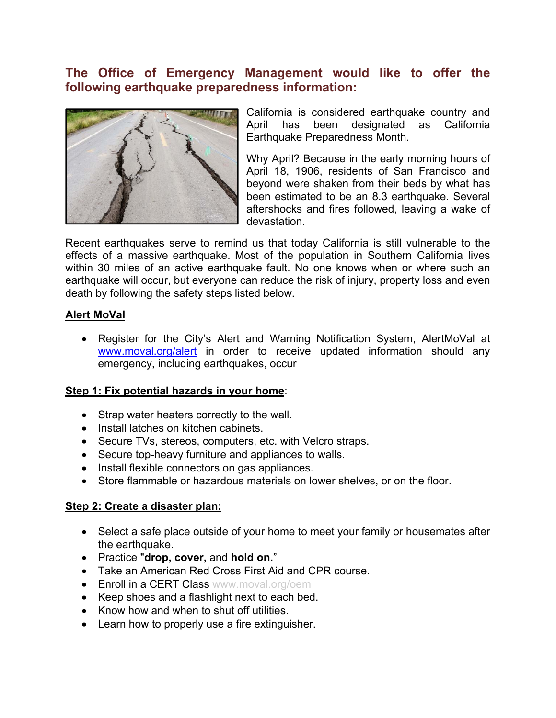# **The Office of Emergency Management would like to offer the following earthquake preparedness information:**



California is considered earthquake country and April has been designated as California Earthquake Preparedness Month.

Why April? Because in the early morning hours of April 18, 1906, residents of San Francisco and beyond were shaken from their beds by what has been estimated to be an 8.3 earthquake. Several aftershocks and fires followed, leaving a wake of devastation.

Recent earthquakes serve to remind us that today California is still vulnerable to the effects of a massive earthquake. Most of the population in Southern California lives within 30 miles of an active earthquake fault. No one knows when or where such an earthquake will occur, but everyone can reduce the risk of injury, property loss and even death by following the safety steps listed below.

#### **Alert MoVal**

 Register for the City's Alert and Warning Notification System, AlertMoVal at www.moval.org/alert in order to receive updated information should any emergency, including earthquakes, occur

## **Step 1: Fix potential hazards in your home**:

- Strap water heaters correctly to the wall.
- Install latches on kitchen cabinets.
- Secure TVs, stereos, computers, etc. with Velcro straps.
- Secure top-heavy furniture and appliances to walls.
- Install flexible connectors on gas appliances.
- Store flammable or hazardous materials on lower shelves, or on the floor.

## **Step 2: Create a disaster plan:**

- Select a safe place outside of your home to meet your family or housemates after the earthquake.
- Practice "**drop, cover,** and **hold on.**"
- Take an American Red Cross First Aid and CPR course.
- **Enroll in a CERT Class www.moval.org/oem**
- Keep shoes and a flashlight next to each bed.
- Know how and when to shut off utilities.
- Learn how to properly use a fire extinguisher.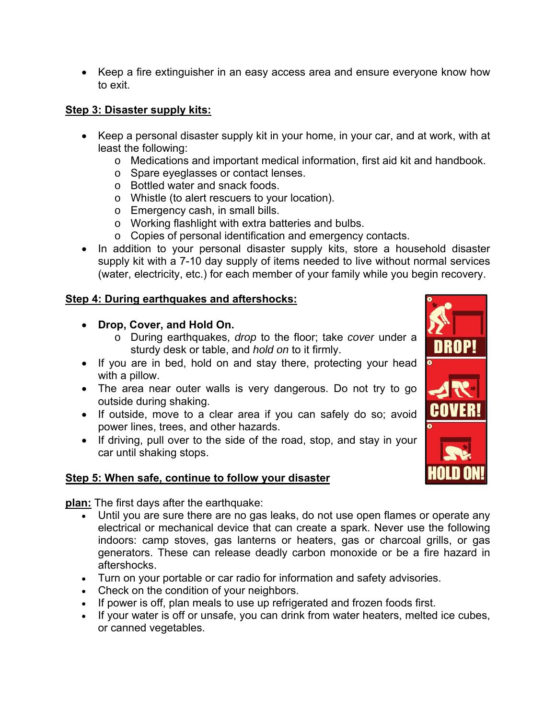• Keep a fire extinguisher in an easy access area and ensure everyone know how to exit.

#### **Step 3: Disaster supply kits:**

- Keep a personal disaster supply kit in your home, in your car, and at work, with at least the following:
	- o Medications and important medical information, first aid kit and handbook.
	- o Spare eyeglasses or contact lenses.
	- o Bottled water and snack foods.
	- o Whistle (to alert rescuers to your location).
	- o Emergency cash, in small bills.
	- o Working flashlight with extra batteries and bulbs.
	- o Copies of personal identification and emergency contacts.
- In addition to your personal disaster supply kits, store a household disaster supply kit with a 7-10 day supply of items needed to live without normal services (water, electricity, etc.) for each member of your family while you begin recovery.

#### **Step 4: During earthquakes and aftershocks:**

- **Drop, Cover, and Hold On.**
	- o During earthquakes, *drop* to the floor; take *cover* under a sturdy desk or table, and *hold on* to it firmly.
- If you are in bed, hold on and stay there, protecting your head with a pillow.
- The area near outer walls is very dangerous. Do not try to go outside during shaking.
- If outside, move to a clear area if you can safely do so; avoid power lines, trees, and other hazards.
- If driving, pull over to the side of the road, stop, and stay in your car until shaking stops.

## **Step 5: When safe, continue to follow your disaster**

**plan:** The first days after the earthquake:

- $\overline{\bullet}$  Until you are sure there are no gas leaks, do not use open flames or operate any electrical or mechanical device that can create a spark. Never use the following indoors: camp stoves, gas lanterns or heaters, gas or charcoal grills, or gas generators. These can release deadly carbon monoxide or be a fire hazard in aftershocks.
- Turn on your portable or car radio for information and safety advisories.
- Check on the condition of your neighbors.
- If power is off, plan meals to use up refrigerated and frozen foods first.
- If your water is off or unsafe, you can drink from water heaters, melted ice cubes, or canned vegetables.

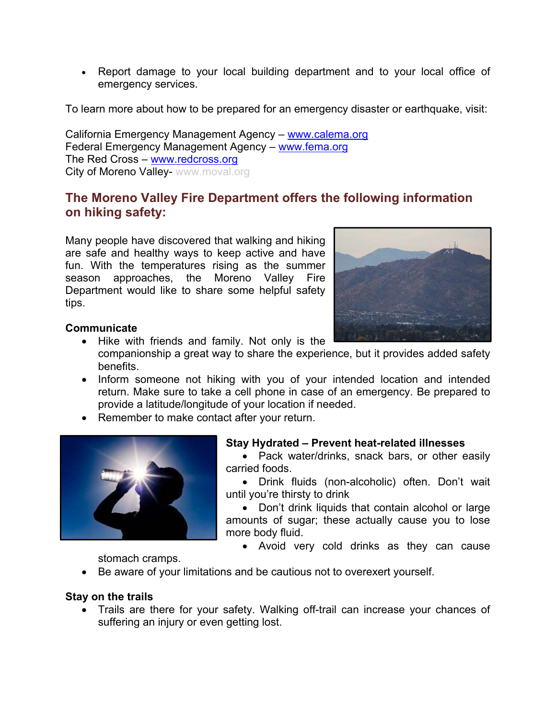Report damage to your local building department and to your local office of emergency services.

To learn more about how to be prepared for an emergency disaster or earthquake, visit:

California Emergency Management Agency – www.calema.org Federal Emergency Management Agency – www.fema.org The Red Cross – www.redcross.org City of Moreno Valley- www.moval.org

# **The Moreno Valley Fire Department offers the following information on hiking safety:**

Many people have discovered that walking and hiking are safe and healthy ways to keep active and have fun. With the temperatures rising as the summer season approaches, the Moreno Valley Fire Department would like to share some helpful safety tips.



#### **Communicate**

- Hike with friends and family. Not only is the companionship a great way to share the experience, but it provides added safety benefits.
- Inform someone not hiking with you of your intended location and intended return. Make sure to take a cell phone in case of an emergency. Be prepared to provide a latitude/longitude of your location if needed.
- Remember to make contact after your return.



## **Stay Hydrated – Prevent heat-related illnesses**

- Pack water/drinks, snack bars, or other easily carried foods.
- Drink fluids (non-alcoholic) often. Don't wait until you're thirsty to drink

 Don't drink liquids that contain alcohol or large amounts of sugar; these actually cause you to lose more body fluid.

Avoid very cold drinks as they can cause

stomach cramps.

Be aware of your limitations and be cautious not to overexert yourself.

#### **Stay on the trails**

 Trails are there for your safety. Walking off-trail can increase your chances of suffering an injury or even getting lost.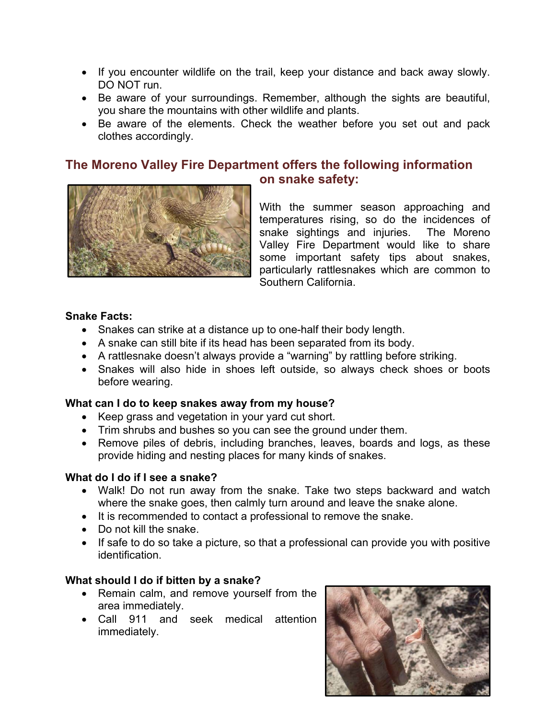- If you encounter wildlife on the trail, keep your distance and back away slowly. DO NOT run.
- Be aware of your surroundings. Remember, although the sights are beautiful, you share the mountains with other wildlife and plants.
- Be aware of the elements. Check the weather before you set out and pack clothes accordingly.

#### **The Moreno Valley Fire Department offers the following information on snake safety:**



With the summer season approaching and temperatures rising, so do the incidences of snake sightings and injuries. The Moreno Valley Fire Department would like to share some important safety tips about snakes, particularly rattlesnakes which are common to Southern California.

#### **Snake Facts:**

- Snakes can strike at a distance up to one-half their body length.
- A snake can still bite if its head has been separated from its body.
- A rattlesnake doesn't always provide a "warning" by rattling before striking.
- Snakes will also hide in shoes left outside, so always check shoes or boots before wearing.

## **What can I do to keep snakes away from my house?**

- Keep grass and vegetation in your yard cut short.
- Trim shrubs and bushes so you can see the ground under them.
- Remove piles of debris, including branches, leaves, boards and logs, as these provide hiding and nesting places for many kinds of snakes.

## **What do I do if I see a snake?**

- Walk! Do not run away from the snake. Take two steps backward and watch where the snake goes, then calmly turn around and leave the snake alone.
- It is recommended to contact a professional to remove the snake.
- Do not kill the snake.
- If safe to do so take a picture, so that a professional can provide you with positive identification.

## **What should I do if bitten by a snake?**

- Remain calm, and remove yourself from the area immediately.
- Call 911 and seek medical attention immediately.

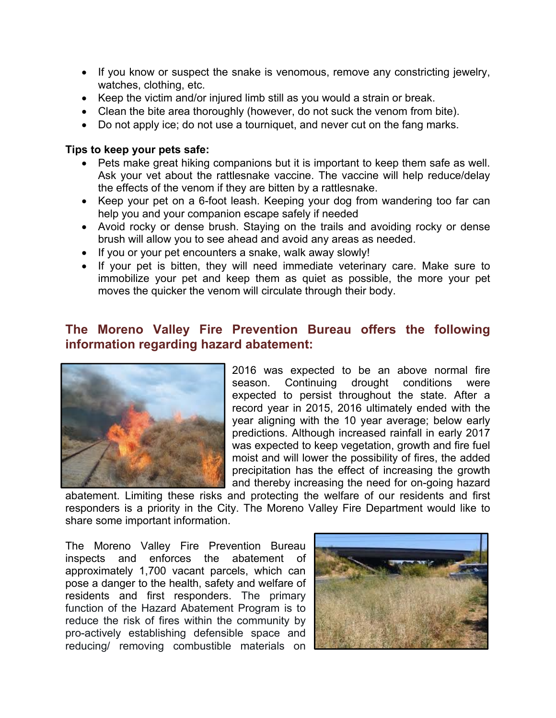- If you know or suspect the snake is venomous, remove any constricting jewelry, watches, clothing, etc.
- Keep the victim and/or injured limb still as you would a strain or break.
- Clean the bite area thoroughly (however, do not suck the venom from bite).
- Do not apply ice; do not use a tourniquet, and never cut on the fang marks.

#### **Tips to keep your pets safe:**

- Pets make great hiking companions but it is important to keep them safe as well. Ask your vet about the rattlesnake vaccine. The vaccine will help reduce/delay the effects of the venom if they are bitten by a rattlesnake.
- Keep your pet on a 6-foot leash. Keeping your dog from wandering too far can help you and your companion escape safely if needed
- Avoid rocky or dense brush. Staying on the trails and avoiding rocky or dense brush will allow you to see ahead and avoid any areas as needed.
- If you or your pet encounters a snake, walk away slowly!
- If your pet is bitten, they will need immediate veterinary care. Make sure to immobilize your pet and keep them as quiet as possible, the more your pet moves the quicker the venom will circulate through their body.

# **The Moreno Valley Fire Prevention Bureau offers the following information regarding hazard abatement:**



2016 was expected to be an above normal fire season. Continuing drought conditions were expected to persist throughout the state. After a record year in 2015, 2016 ultimately ended with the year aligning with the 10 year average; below early predictions. Although increased rainfall in early 2017 was expected to keep vegetation, growth and fire fuel moist and will lower the possibility of fires, the added precipitation has the effect of increasing the growth and thereby increasing the need for on-going hazard

abatement. Limiting these risks and protecting the welfare of our residents and first responders is a priority in the City. The Moreno Valley Fire Department would like to share some important information.

The Moreno Valley Fire Prevention Bureau inspects and enforces the abatement of approximately 1,700 vacant parcels, which can pose a danger to the health, safety and welfare of residents and first responders. The primary function of the Hazard Abatement Program is to reduce the risk of fires within the community by pro-actively establishing defensible space and reducing/ removing combustible materials on